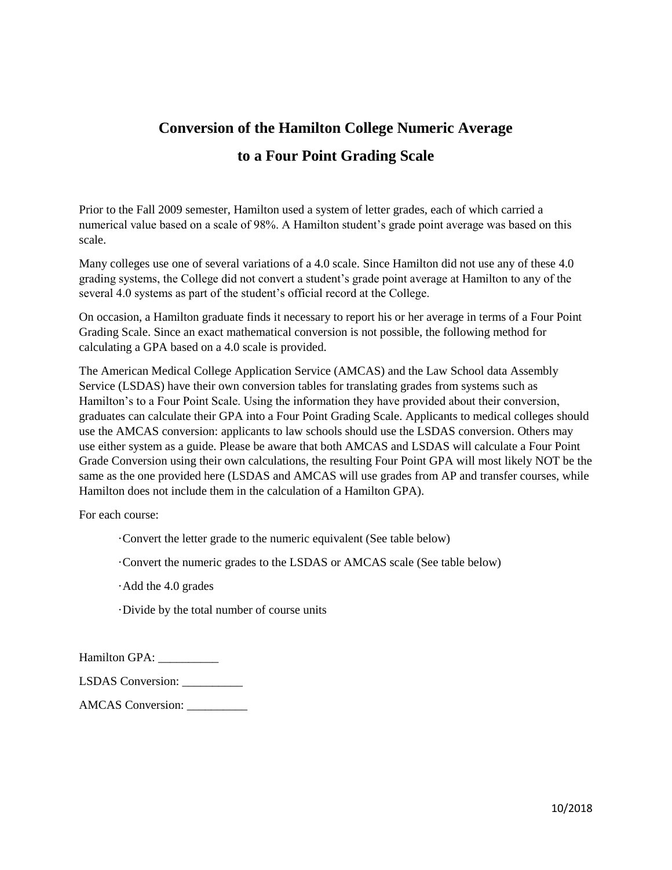## **Conversion of the Hamilton College Numeric Average to a Four Point Grading Scale**

Prior to the Fall 2009 semester, Hamilton used a system of letter grades, each of which carried a numerical value based on a scale of 98%. A Hamilton student's grade point average was based on this scale.

Many colleges use one of several variations of a 4.0 scale. Since Hamilton did not use any of these 4.0 grading systems, the College did not convert a student's grade point average at Hamilton to any of the several 4.0 systems as part of the student's official record at the College.

On occasion, a Hamilton graduate finds it necessary to report his or her average in terms of a Four Point Grading Scale. Since an exact mathematical conversion is not possible, the following method for calculating a GPA based on a 4.0 scale is provided.

The American Medical College Application Service (AMCAS) and the Law School data Assembly Service (LSDAS) have their own conversion tables for translating grades from systems such as Hamilton's to a Four Point Scale. Using the information they have provided about their conversion, graduates can calculate their GPA into a Four Point Grading Scale. Applicants to medical colleges should use the AMCAS conversion: applicants to law schools should use the LSDAS conversion. Others may use either system as a guide. Please be aware that both AMCAS and LSDAS will calculate a Four Point Grade Conversion using their own calculations, the resulting Four Point GPA will most likely NOT be the same as the one provided here (LSDAS and AMCAS will use grades from AP and transfer courses, while Hamilton does not include them in the calculation of a Hamilton GPA).

For each course:

·Convert the letter grade to the numeric equivalent (See table below)

·Convert the numeric grades to the LSDAS or AMCAS scale (See table below)

·Add the 4.0 grades

·Divide by the total number of course units

Hamilton GPA: \_\_\_\_\_\_\_\_\_\_

LSDAS Conversion: \_\_\_\_\_\_\_\_\_\_

AMCAS Conversion: \_\_\_\_\_\_\_\_\_\_